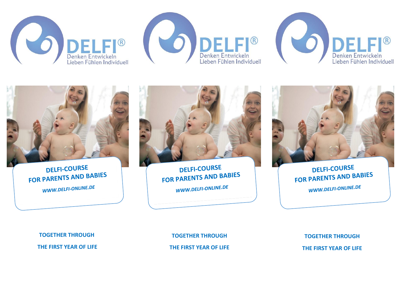







**DELFI-COURSE** FOR PARENTS AND BABIES WWW.DELFI-ONLINE.DE



**DELFI-COURSE** FOR PARENTS AND BABIES WWW.DELFI-ONLINE.DE



**DELFI-COURSE FOR PARENTS AND BABIES** WWW.DELFI-ONLINE.DE

**TOGETHER THROUGH**

**THE FIRST YEAR OF LIFE**

**TOGETHER THROUGH THE FIRST YEAR OF LIFE**

**TOGETHER THROUGH THE FIRST YEAR OF LIFE**